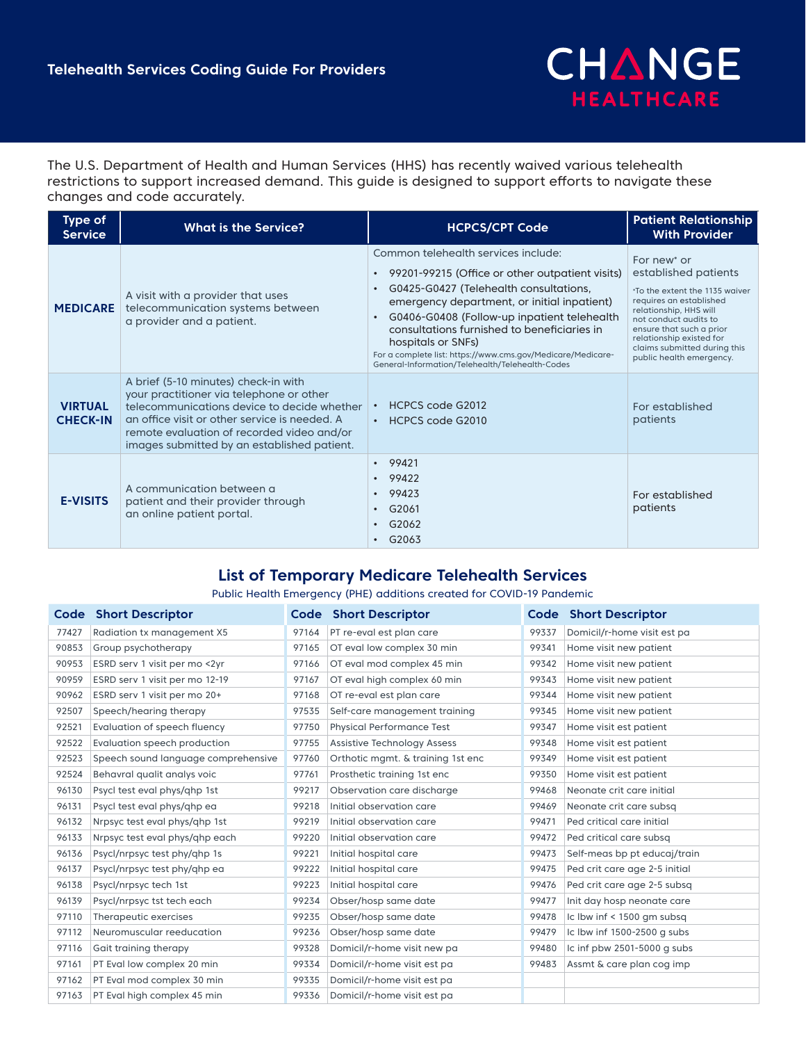

The U.S. Department of Health and Human Services (HHS) has recently waived various telehealth restrictions to support increased demand. This guide is designed to support efforts to navigate these changes and code accurately.

| <b>Type of</b><br><b>Service</b>  | <b>What is the Service?</b>                                                                                                                                                                                                                                                   | <b>HCPCS/CPT Code</b>                                                                                                                                                                                                                                                                                                                                                                                                                           | <b>Patient Relationship</b><br><b>With Provider</b>                                                                                                                                                                                                                                 |
|-----------------------------------|-------------------------------------------------------------------------------------------------------------------------------------------------------------------------------------------------------------------------------------------------------------------------------|-------------------------------------------------------------------------------------------------------------------------------------------------------------------------------------------------------------------------------------------------------------------------------------------------------------------------------------------------------------------------------------------------------------------------------------------------|-------------------------------------------------------------------------------------------------------------------------------------------------------------------------------------------------------------------------------------------------------------------------------------|
| <b>MEDICARE</b>                   | A visit with a provider that uses<br>telecommunication systems between<br>a provider and a patient.                                                                                                                                                                           | Common telehealth services include:<br>99201-99215 (Office or other outpatient visits)<br>$\bullet$<br>G0425-G0427 (Telehealth consultations,<br>$\bullet$<br>emergency department, or initial inpatient)<br>G0406-G0408 (Follow-up inpatient telehealth<br>consultations furnished to beneficiaries in<br>hospitals or SNFs)<br>For a complete list: https://www.cms.gov/Medicare/Medicare-<br>General-Information/Telehealth/Telehealth-Codes | For new <sup>*</sup> or<br>established patients<br>*To the extent the 1135 waiver<br>requires an established<br>relationship, HHS will<br>not conduct audits to<br>ensure that such a prior<br>relationship existed for<br>claims submitted during this<br>public health emergency. |
| <b>VIRTUAL</b><br><b>CHECK-IN</b> | A brief (5-10 minutes) check-in with<br>your practitioner via telephone or other<br>telecommunications device to decide whether<br>an office visit or other service is needed. A<br>remote evaluation of recorded video and/or<br>images submitted by an established patient. | HCPCS code G2012<br>HCPCS code G2010<br>$\bullet$                                                                                                                                                                                                                                                                                                                                                                                               | For established<br>patients                                                                                                                                                                                                                                                         |
| <b>E-VISITS</b>                   | A communication between a<br>patient and their provider through<br>an online patient portal.                                                                                                                                                                                  | 99421<br>$\bullet$<br>99422<br>99423<br>G2061<br>$\bullet$<br>G2062<br>$\bullet$<br>G2063<br>$\bullet$                                                                                                                                                                                                                                                                                                                                          | For established<br>patients                                                                                                                                                                                                                                                         |

## **List of Temporary Medicare Telehealth Services**

## Public Health Emergency (PHE) additions created for COVID-19 Pandemic

|       | <b>Code Short Descriptor</b>        |       | <b>Code Short Descriptor</b>       |       | <b>Code Short Descriptor</b>  |
|-------|-------------------------------------|-------|------------------------------------|-------|-------------------------------|
| 77427 | Radiation tx management X5          | 97164 | PT re-eval est plan care           | 99337 | Domicil/r-home visit est pa   |
| 90853 | Group psychotherapy                 | 97165 | OT eval low complex 30 min         | 99341 | Home visit new patient        |
| 90953 | ESRD serv 1 visit per mo <2yr       | 97166 | OT eval mod complex 45 min         | 99342 | Home visit new patient        |
| 90959 | ESRD serv 1 visit per mo 12-19      | 97167 | OT eval high complex 60 min        | 99343 | Home visit new patient        |
| 90962 | ESRD serv 1 visit per mo 20+        | 97168 | OT re-eval est plan care           | 99344 | Home visit new patient        |
| 92507 | Speech/hearing therapy              | 97535 | Self-care management training      | 99345 | Home visit new patient        |
| 92521 | Evaluation of speech fluency        | 97750 | <b>Physical Performance Test</b>   | 99347 | Home visit est patient        |
| 92522 | Evaluation speech production        | 97755 | <b>Assistive Technology Assess</b> | 99348 | Home visit est patient        |
| 92523 | Speech sound language comprehensive | 97760 | Orthotic mgmt. & training 1st enc  | 99349 | Home visit est patient        |
| 92524 | Behavral qualit analys voic         | 97761 | Prosthetic training 1st enc        | 99350 | Home visit est patient        |
| 96130 | Psycl test eval phys/qhp 1st        | 99217 | Observation care discharge         | 99468 | Neonate crit care initial     |
| 96131 | Psycl test eval phys/qhp ea         | 99218 | Initial observation care           | 99469 | Neonate crit care subsq       |
| 96132 | Nrpsyc test eval phys/qhp 1st       | 99219 | Initial observation care           | 99471 | Ped critical care initial     |
| 96133 | Nrpsyc test eval phys/qhp each      | 99220 | Initial observation care           | 99472 | Ped critical care subsq       |
| 96136 | Psycl/nrpsyc test phy/ghp 1s        | 99221 | Initial hospital care              | 99473 | Self-meas bp pt educaj/train  |
| 96137 | Psycl/nrpsyc test phy/ghp ea        | 99222 | Initial hospital care              | 99475 | Ped crit care age 2-5 initial |
| 96138 | Psycl/nrpsyc tech 1st               | 99223 | Initial hospital care              | 99476 | Ped crit care age 2-5 subsq   |
| 96139 | Psycl/nrpsyc tst tech each          | 99234 | Obser/hosp same date               | 99477 | Init day hosp neonate care    |
| 97110 | Therapeutic exercises               | 99235 | Obser/hosp same date               | 99478 | Ic Ibw inf < 1500 gm subsg    |
| 97112 | Neuromuscular reeducation           | 99236 | Obser/hosp same date               | 99479 | Ic lbw inf 1500-2500 g subs   |
| 97116 | Gait training therapy               | 99328 | Domicil/r-home visit new pa        | 99480 | Ic inf pbw 2501-5000 g subs   |
| 97161 | PT Eval low complex 20 min          | 99334 | Domicil/r-home visit est pa        | 99483 | Assmt & care plan cog imp     |
| 97162 | PT Eval mod complex 30 min          | 99335 | Domicil/r-home visit est pa        |       |                               |
| 97163 | PT Eval high complex 45 min         | 99336 | Domicil/r-home visit est pa        |       |                               |